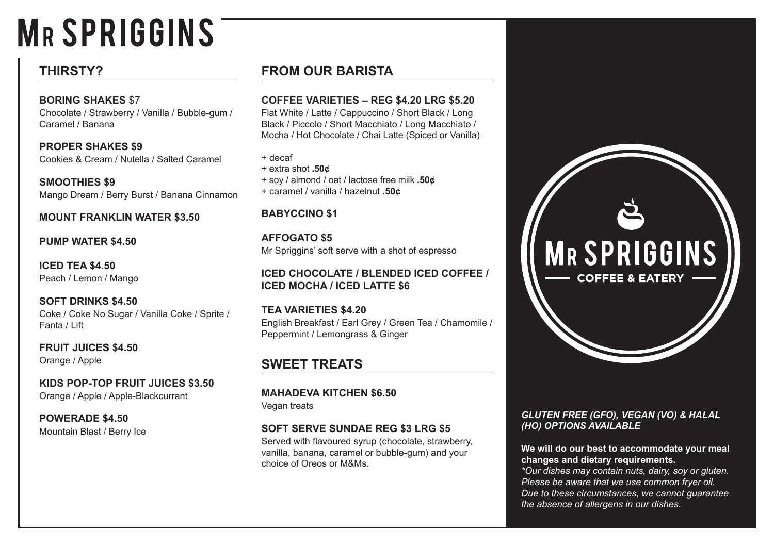# **MRSPRIGGINS**

# **THIRSTY?**

## **BORING SHAKES** \$7

Chocolate / Strawberry / Vanilla / Bubble-gum / Caramel / Banana

**PROPER SHAKES \$9** Cookies & Cream / Nutella / Salted Caramel

**SMOOTHIES \$9** Mango Dream / Berry Burst / Banana Cinnamon

## **MOUNT FRANKLIN WATER \$3.50**

## **PUMP WATER \$4.50**

**ICED TEA \$4.50** Peach / Lemon / Mango

**SOFT DRINKS \$4.50**  Coke / Coke No Sugar / Vanilla Coke / Sprite / Fanta / Lift

**FRUIT JUICES \$4.50**  Orange / Apple

**KIDS POP-TOP FRUIT JUICES \$3.50** Orange / Apple / Apple-Blackcurrant

**POWERADE \$4.50**  Mountain Blast / Berry Ice

# **FROM OUR BARISTA**

## **COFFEE VARIETIES – REG \$4.20 LRG \$5.20**

Flat White / Latte / Cappuccino / Short Black / Long Black / Piccolo / Short Macchiato / Long Macchiato / Mocha / Hot Chocolate / Chai Latte (Spiced or Vanilla)

+ decaf

- + extra shot **.50¢**
- + soy / almond / oat / lactose free milk **.50¢**
- + caramel / vanilla / hazelnut **.50¢**

# **BABYCCINO \$1**

**AFFOGATO \$5** Mr Spriggins' soft serve with a shot of espresso

## **ICED CHOCOLATE / BLENDED ICED COFFEE / ICED MOCHA / ICED LATTE \$6**

**TEA VARIETIES \$4.20**  English Breakfast / Earl Grey / Green Tea / Chamomile / Peppermint / Lemongrass & Ginger

# **SWEET TREATS**

**MAHADEVA KITCHEN \$6.50** Vegan treats

# **SOFT SERVE SUNDAE REG \$3 LRG \$5**

Served with flavoured syrup (chocolate, strawberry, vanilla, banana, caramel or bubble-gum) and your choice of Oreos or M&Ms.



## *GLUTEN FREE (GFO), VEGAN (VO) & HALAL (HO) OPTIONS AVAILABLE*

#### **We will do our best to accommodate your meal changes and dietary requirements.**

*\*Our dishes may contain nuts, dairy, soy or gluten. Please be aware that we use common fryer oil. Due to these circumstances, we cannot guarantee the absence of allergens in our dishes.*